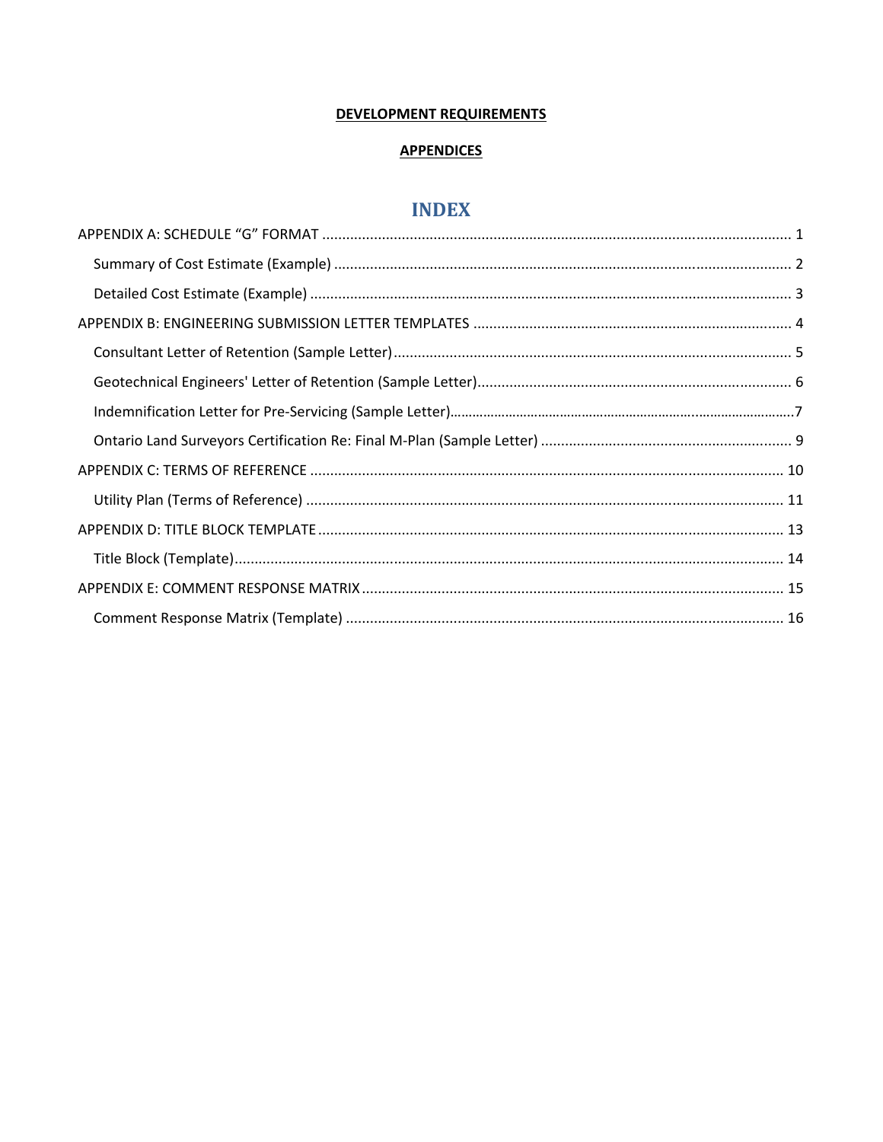### **DEVELOPMENT REQUIREMENTS**

### **APPENDICES**

## **INDEX**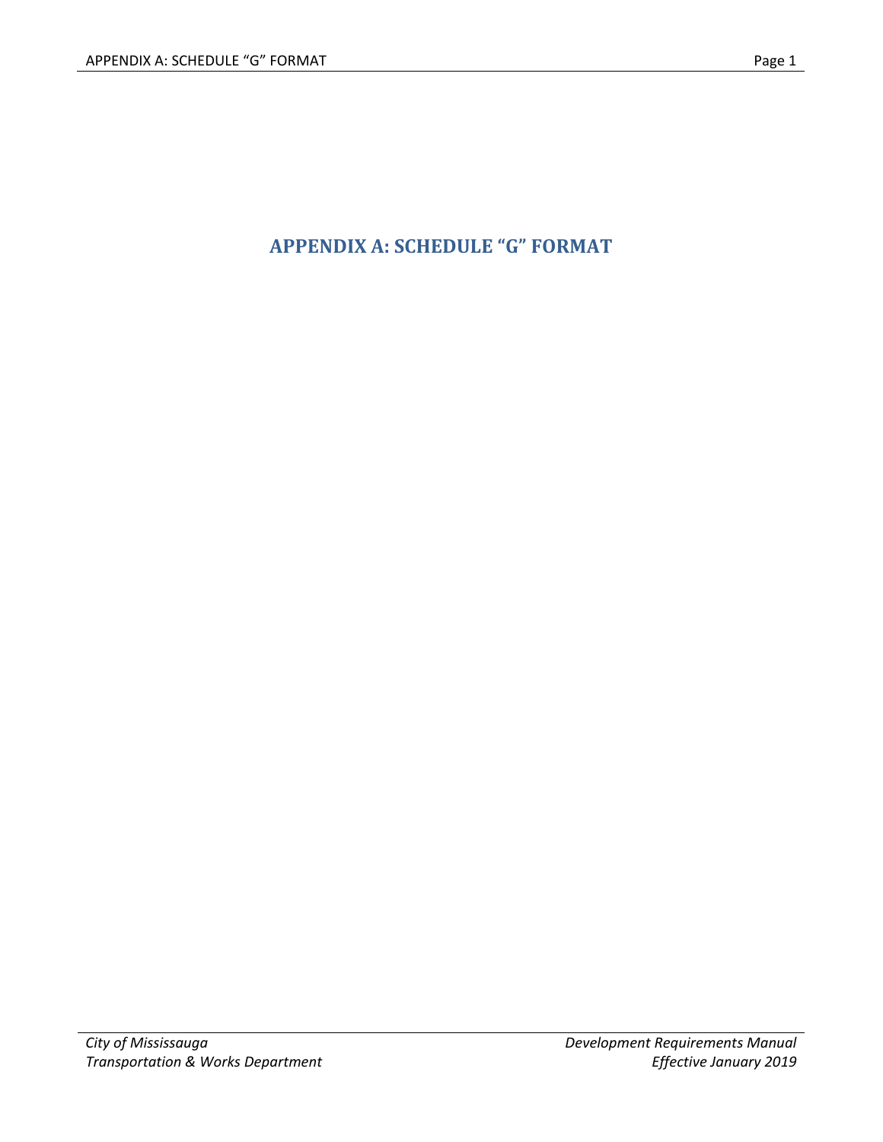# **APPENDIX A: SCHEDULE "G" FORMAT**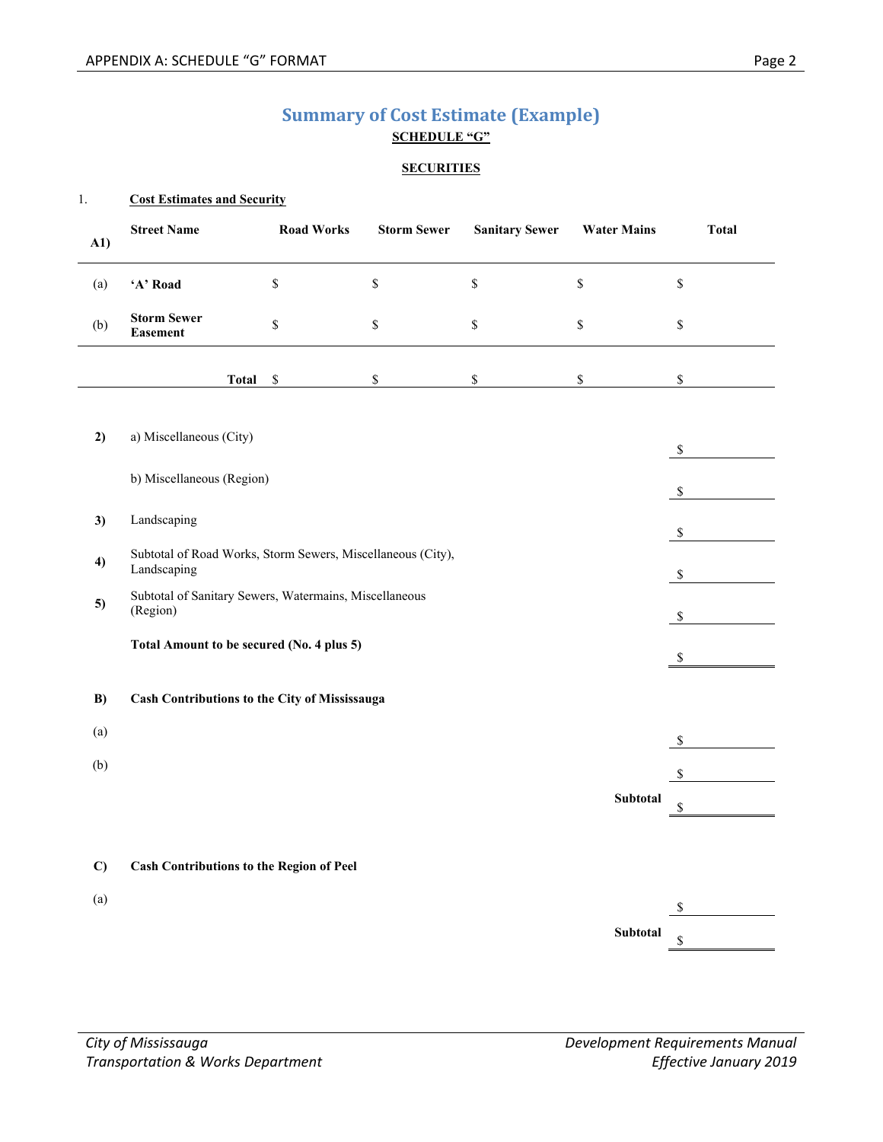### **Summary of Cost Estimate (Example) SCHEDULE "G"**

#### **SECURITIES**

#### 1. **Cost Estimates and Security**

| A1)          | <b>Street Name</b>                                                         | <b>Road Works</b> | <b>Storm Sewer</b> | <b>Sanitary Sewer</b> | <b>Water Mains</b> | <b>Total</b> |
|--------------|----------------------------------------------------------------------------|-------------------|--------------------|-----------------------|--------------------|--------------|
| (a)          | 'A' Road                                                                   | \$                | $\mathbb S$        | \$                    | \$                 | \$           |
| (b)          | <b>Storm Sewer</b><br><b>Easement</b>                                      | \$                | $\mathbb S$        | \$                    | \$                 | \$           |
|              | <b>Total</b>                                                               | \$                | $\mathbb{S}$       | \$                    | \$                 | \$           |
|              |                                                                            |                   |                    |                       |                    |              |
| 2)           | a) Miscellaneous (City)                                                    |                   |                    |                       |                    | $\mathbb{S}$ |
|              | b) Miscellaneous (Region)                                                  |                   |                    |                       |                    | \$           |
| 3)           | Landscaping                                                                |                   |                    |                       |                    | $\mathbb{S}$ |
| 4)           | Subtotal of Road Works, Storm Sewers, Miscellaneous (City),<br>Landscaping | $\mathbb{S}$      |                    |                       |                    |              |
| 5)           | Subtotal of Sanitary Sewers, Watermains, Miscellaneous<br>(Region)         |                   |                    |                       |                    | \$           |
|              | Total Amount to be secured (No. 4 plus 5)                                  |                   |                    |                       |                    | $\$$         |
| B)           | Cash Contributions to the City of Mississauga                              |                   |                    |                       |                    |              |
| (a)          |                                                                            |                   |                    |                       |                    | $\$$         |
| (b)          |                                                                            |                   |                    |                       |                    | \$           |
|              |                                                                            |                   |                    |                       | Subtotal           | \$           |
|              |                                                                            |                   |                    |                       |                    |              |
| $\mathbf{C}$ | <b>Cash Contributions to the Region of Peel</b>                            |                   |                    |                       |                    |              |
| (a)          |                                                                            |                   |                    |                       |                    | \$           |
|              |                                                                            |                   |                    |                       | <b>Subtotal</b>    | \$           |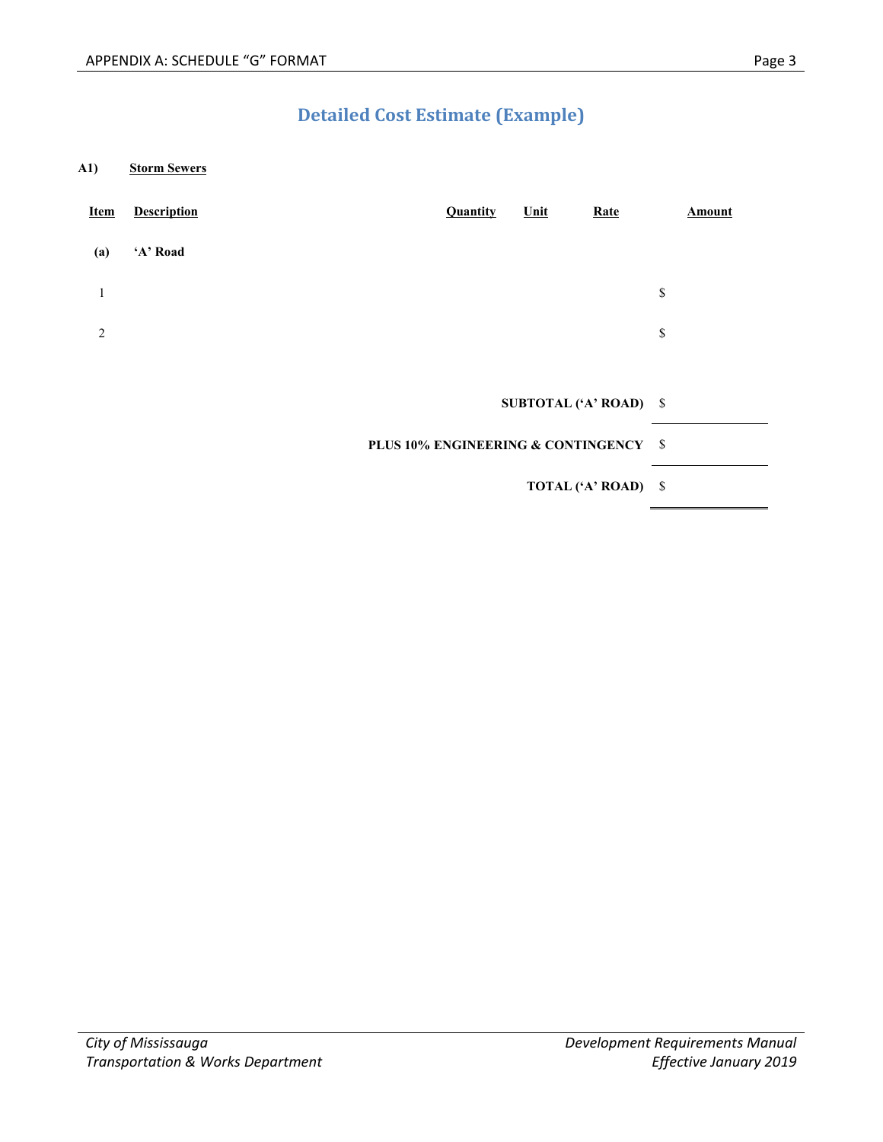# **Detailed Cost Estimate (Example)**

**A1) Storm Sewers**

| <b>Item</b>    | <b>Description</b> |                                                  | <b>Quantity</b> | Unit | Rate                   | Amount |
|----------------|--------------------|--------------------------------------------------|-----------------|------|------------------------|--------|
| (a)            | 'A' Road           |                                                  |                 |      |                        |        |
| $\mathbf{1}$   |                    |                                                  |                 |      |                        | \$     |
| $\overline{2}$ |                    |                                                  |                 |      |                        | \$     |
|                |                    |                                                  |                 |      |                        |        |
|                |                    |                                                  |                 |      | SUBTOTAL ('A' ROAD) \$ |        |
|                |                    | <b>PLUS 10% ENGINEERING &amp; CONTINGENCY \$</b> |                 |      |                        |        |
|                |                    |                                                  |                 |      | TOTAL ('A' ROAD) \$    |        |
|                |                    |                                                  |                 |      |                        |        |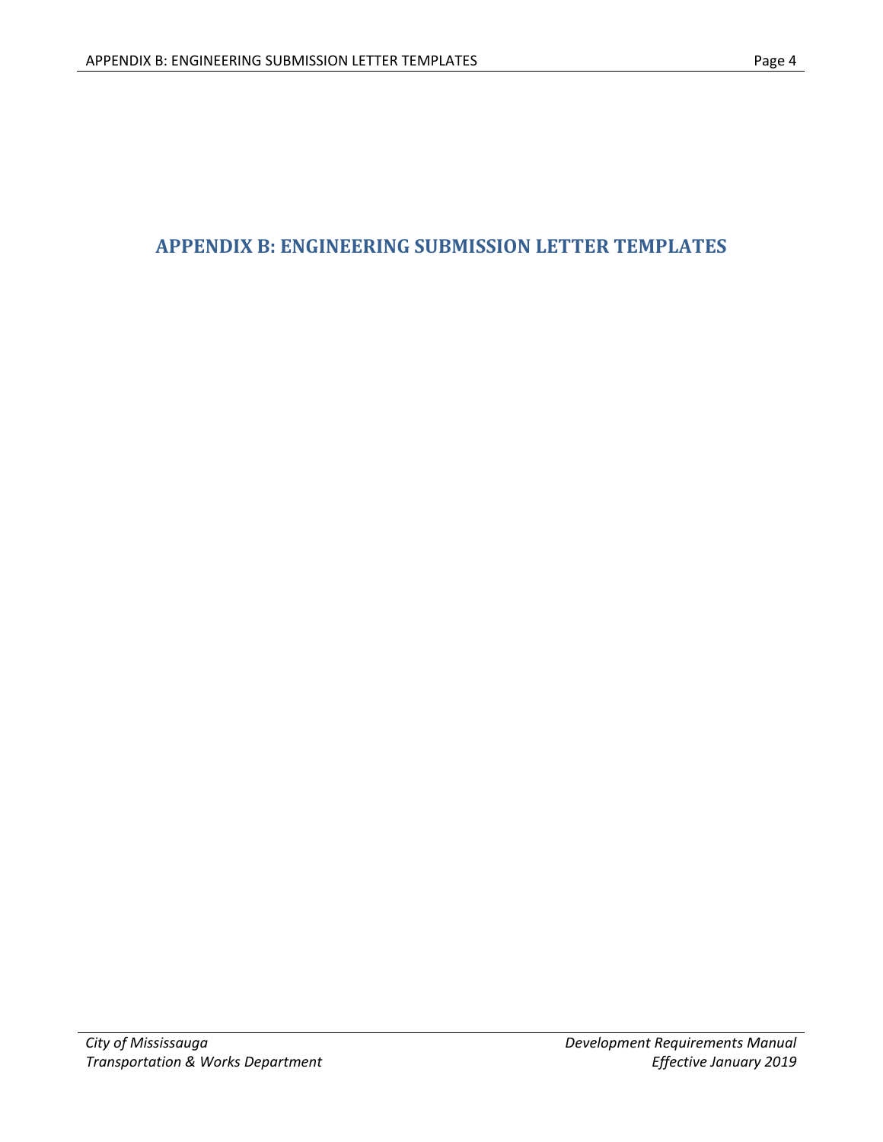## **APPENDIX B: ENGINEERING SUBMISSION LETTER TEMPLATES**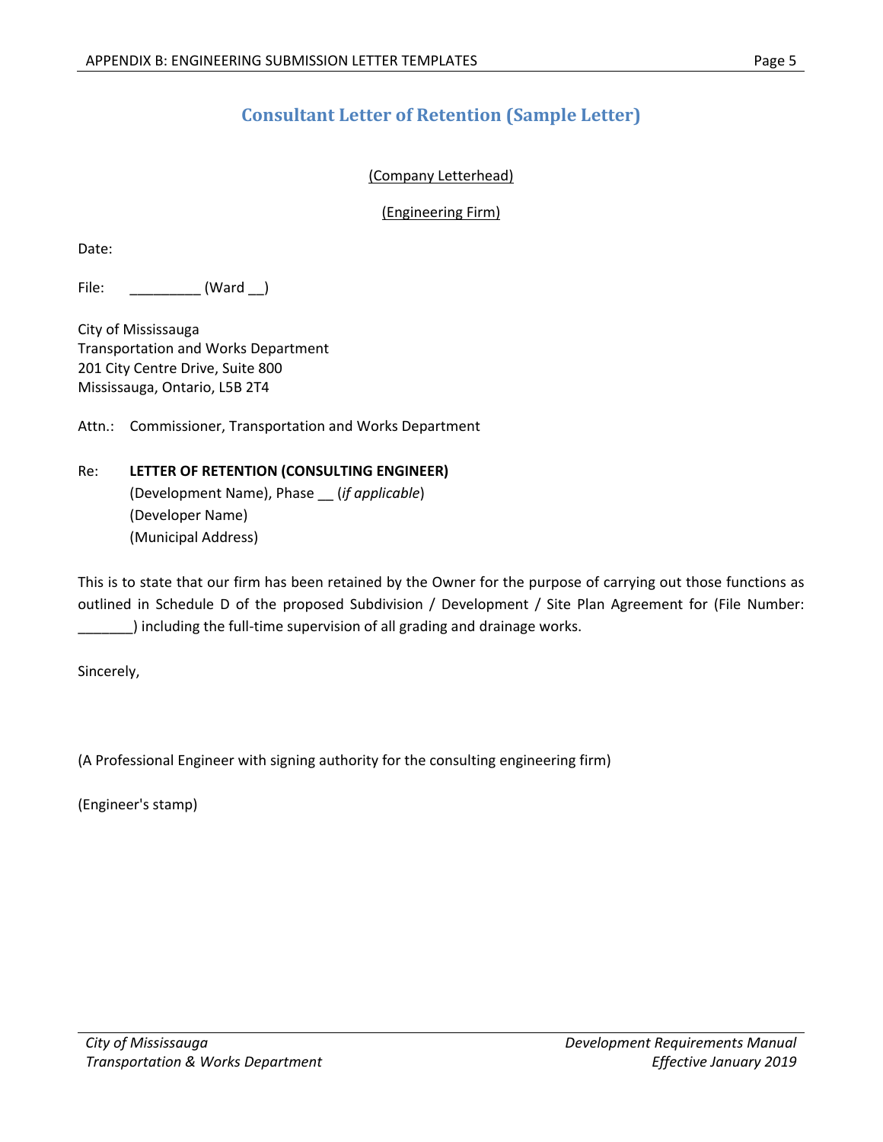## **Consultant Letter of Retention (Sample Letter)**

### (Company Letterhead)

(Engineering Firm)

Date:

File: (Ward )

City of Mississauga Transportation and Works Department 201 City Centre Drive, Suite 800 Mississauga, Ontario, L5B 2T4

Attn.: Commissioner, Transportation and Works Department

### Re: **LETTER OF RETENTION (CONSULTING ENGINEER)**

(Development Name), Phase \_\_ (*if applicable*) (Developer Name) (Municipal Address)

This is to state that our firm has been retained by the Owner for the purpose of carrying out those functions as outlined in Schedule D of the proposed Subdivision / Development / Site Plan Agreement for (File Number: \_\_\_\_\_\_\_) including the full‐time supervision of all grading and drainage works.

Sincerely,

(A Professional Engineer with signing authority for the consulting engineering firm)

(Engineer's stamp)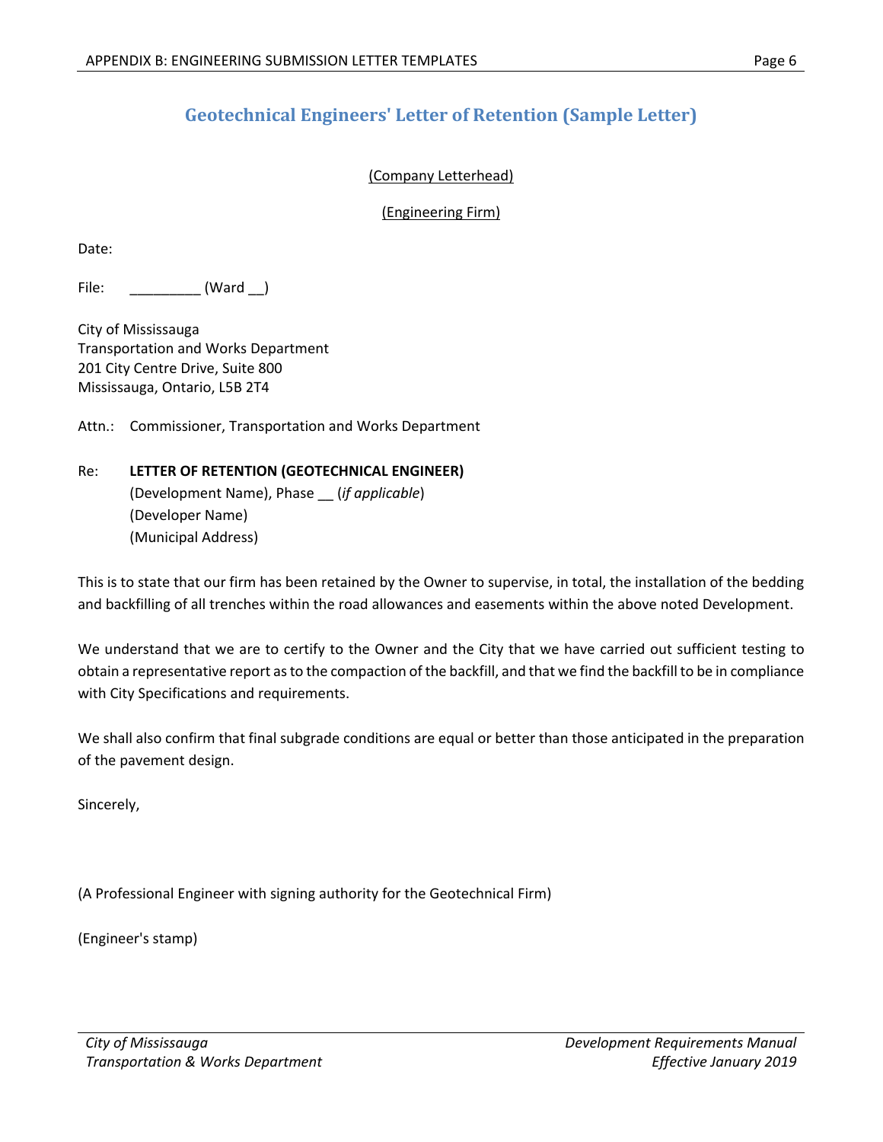## **Geotechnical Engineers' Letter of Retention (Sample Letter)**

#### (Company Letterhead)

(Engineering Firm)

Date:

File: (Ward )

City of Mississauga Transportation and Works Department 201 City Centre Drive, Suite 800 Mississauga, Ontario, L5B 2T4

Attn.: Commissioner, Transportation and Works Department

### Re: **LETTER OF RETENTION (GEOTECHNICAL ENGINEER)**

(Development Name), Phase \_\_ (*if applicable*) (Developer Name) (Municipal Address)

This is to state that our firm has been retained by the Owner to supervise, in total, the installation of the bedding and backfilling of all trenches within the road allowances and easements within the above noted Development.

We understand that we are to certify to the Owner and the City that we have carried out sufficient testing to obtain a representative report as to the compaction of the backfill, and that we find the backfill to be in compliance with City Specifications and requirements.

We shall also confirm that final subgrade conditions are equal or better than those anticipated in the preparation of the pavement design.

Sincerely,

(A Professional Engineer with signing authority for the Geotechnical Firm)

(Engineer's stamp)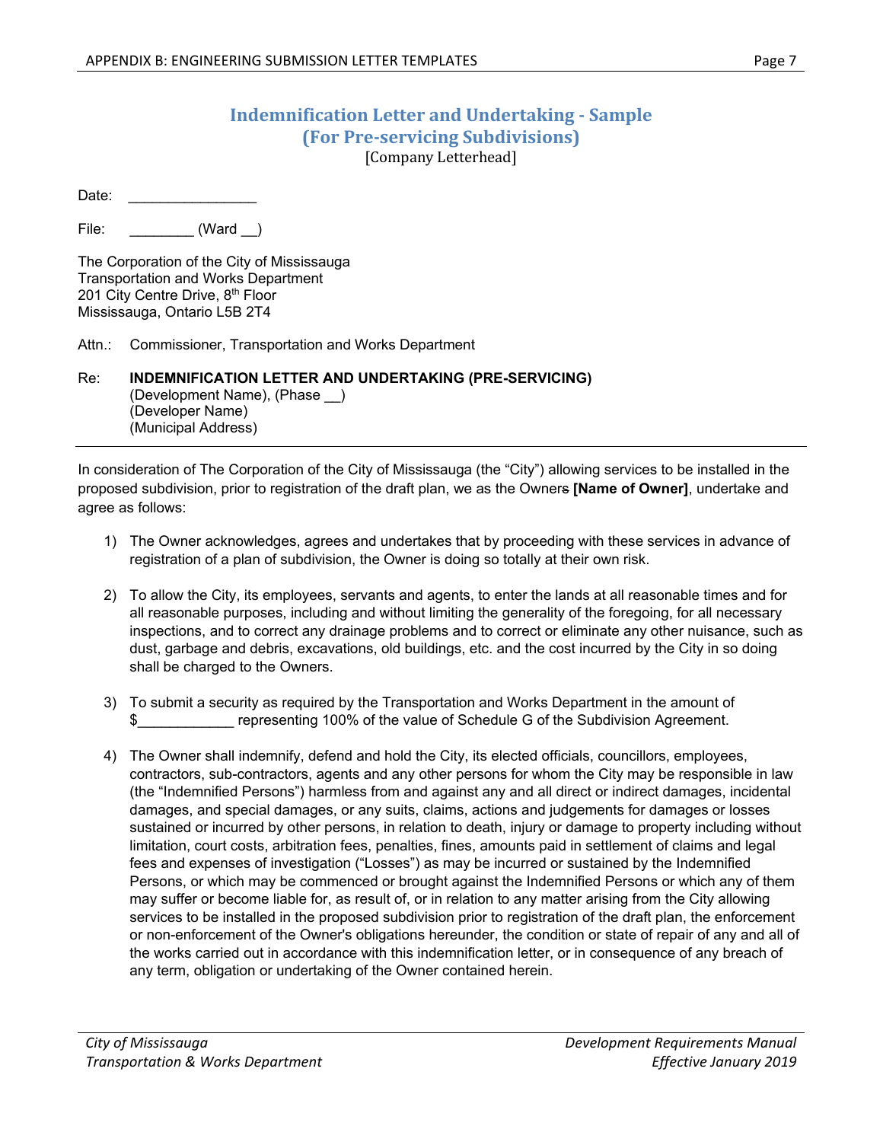### **Indemnification Letter and Undertaking ‐ Sample (For Pre‐servicing Subdivisions)** [Company Letterhead]

Date:

File: \_\_\_\_\_\_\_\_ (Ward )

The Corporation of the City of Mississauga Transportation and Works Department 201 City Centre Drive, 8<sup>th</sup> Floor Mississauga, Ontario L5B 2T4

Attn.: Commissioner, Transportation and Works Department

Re: **INDEMNIFICATION LETTER AND UNDERTAKING (PRE-SERVICING)**  (Development Name), (Phase \_\_) (Developer Name) (Municipal Address)

In consideration of The Corporation of the City of Mississauga (the "City") allowing services to be installed in the proposed subdivision, prior to registration of the draft plan, we as the Owners **[Name of Owner]**, undertake and agree as follows:

- 1) The Owner acknowledges, agrees and undertakes that by proceeding with these services in advance of registration of a plan of subdivision, the Owner is doing so totally at their own risk.
- 2) To allow the City, its employees, servants and agents, to enter the lands at all reasonable times and for all reasonable purposes, including and without limiting the generality of the foregoing, for all necessary inspections, and to correct any drainage problems and to correct or eliminate any other nuisance, such as dust, garbage and debris, excavations, old buildings, etc. and the cost incurred by the City in so doing shall be charged to the Owners.
- 3) To submit a security as required by the Transportation and Works Department in the amount of representing 100% of the value of Schedule G of the Subdivision Agreement.
- 4) The Owner shall indemnify, defend and hold the City, its elected officials, councillors, employees, contractors, sub-contractors, agents and any other persons for whom the City may be responsible in law (the "Indemnified Persons") harmless from and against any and all direct or indirect damages, incidental damages, and special damages, or any suits, claims, actions and judgements for damages or losses sustained or incurred by other persons, in relation to death, injury or damage to property including without limitation, court costs, arbitration fees, penalties, fines, amounts paid in settlement of claims and legal fees and expenses of investigation ("Losses") as may be incurred or sustained by the Indemnified Persons, or which may be commenced or brought against the Indemnified Persons or which any of them may suffer or become liable for, as result of, or in relation to any matter arising from the City allowing services to be installed in the proposed subdivision prior to registration of the draft plan, the enforcement or non-enforcement of the Owner's obligations hereunder, the condition or state of repair of any and all of the works carried out in accordance with this indemnification letter, or in consequence of any breach of any term, obligation or undertaking of the Owner contained herein.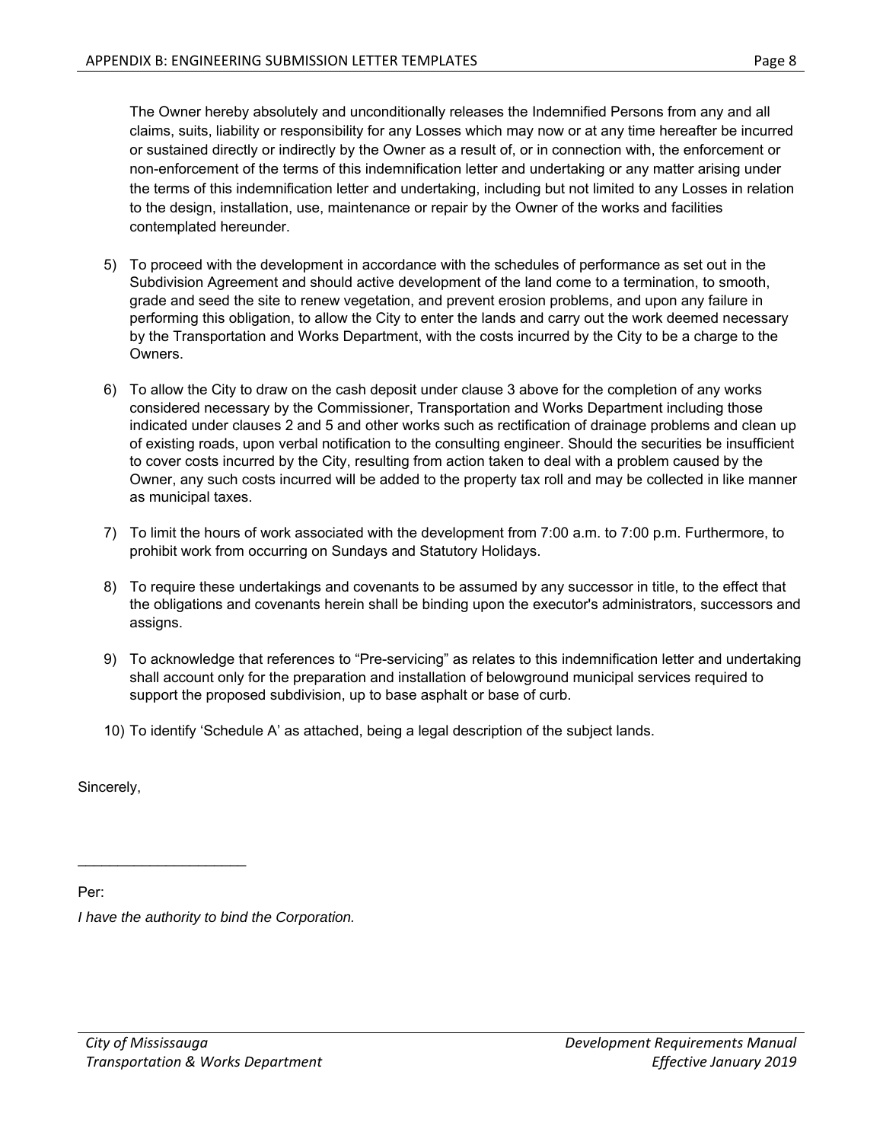The Owner hereby absolutely and unconditionally releases the Indemnified Persons from any and all claims, suits, liability or responsibility for any Losses which may now or at any time hereafter be incurred or sustained directly or indirectly by the Owner as a result of, or in connection with, the enforcement or non-enforcement of the terms of this indemnification letter and undertaking or any matter arising under the terms of this indemnification letter and undertaking, including but not limited to any Losses in relation to the design, installation, use, maintenance or repair by the Owner of the works and facilities contemplated hereunder.

- 5) To proceed with the development in accordance with the schedules of performance as set out in the Subdivision Agreement and should active development of the land come to a termination, to smooth, grade and seed the site to renew vegetation, and prevent erosion problems, and upon any failure in performing this obligation, to allow the City to enter the lands and carry out the work deemed necessary by the Transportation and Works Department, with the costs incurred by the City to be a charge to the Owners.
- 6) To allow the City to draw on the cash deposit under clause 3 above for the completion of any works considered necessary by the Commissioner, Transportation and Works Department including those indicated under clauses 2 and 5 and other works such as rectification of drainage problems and clean up of existing roads, upon verbal notification to the consulting engineer. Should the securities be insufficient to cover costs incurred by the City, resulting from action taken to deal with a problem caused by the Owner, any such costs incurred will be added to the property tax roll and may be collected in like manner as municipal taxes.
- 7) To limit the hours of work associated with the development from 7:00 a.m. to 7:00 p.m. Furthermore, to prohibit work from occurring on Sundays and Statutory Holidays.
- 8) To require these undertakings and covenants to be assumed by any successor in title, to the effect that the obligations and covenants herein shall be binding upon the executor's administrators, successors and assigns.
- 9) To acknowledge that references to "Pre-servicing" as relates to this indemnification letter and undertaking shall account only for the preparation and installation of belowground municipal services required to support the proposed subdivision, up to base asphalt or base of curb.
- 10) To identify 'Schedule A' as attached, being a legal description of the subject lands.

Sincerely,

Per:

*I have the authority to bind the Corporation.*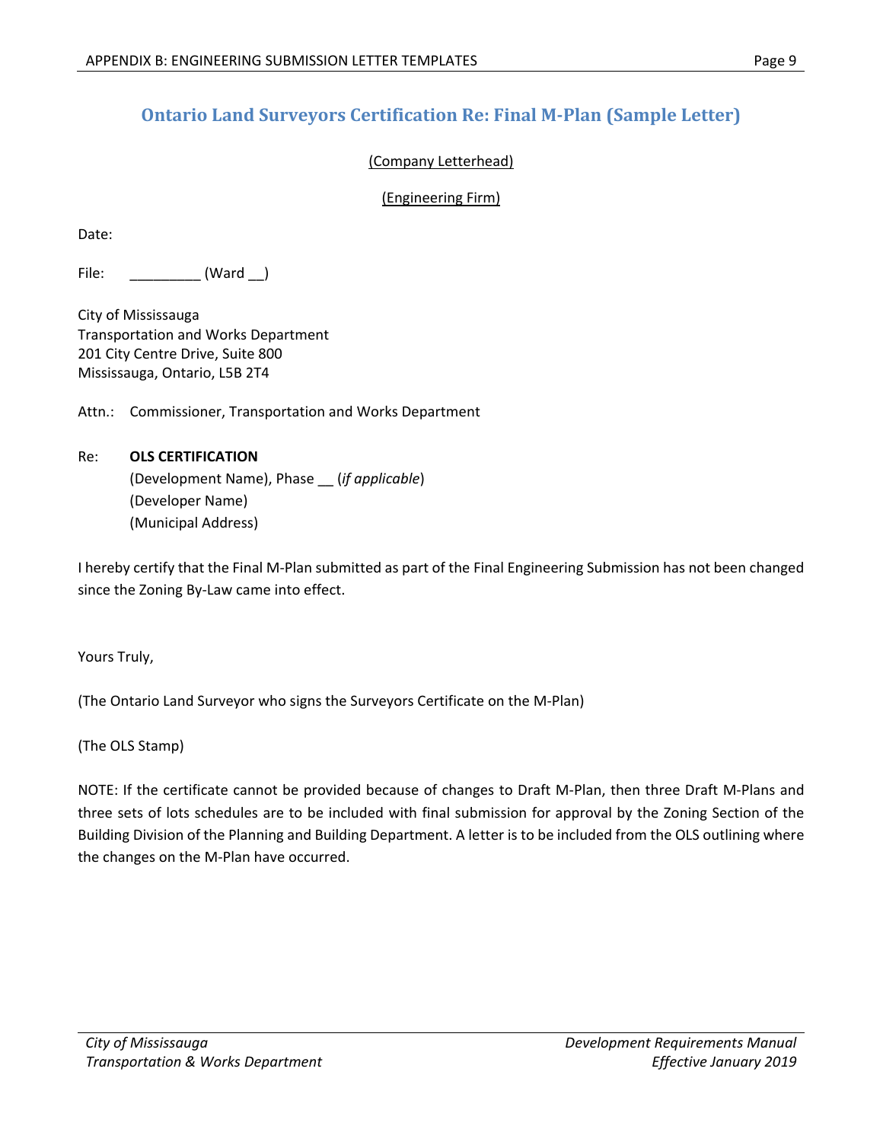## **Ontario Land Surveyors Certification Re: Final M‐Plan (Sample Letter)**

#### (Company Letterhead)

#### (Engineering Firm)

Date:

File: \_\_\_\_\_\_\_\_\_\_ (Ward \_)

City of Mississauga Transportation and Works Department 201 City Centre Drive, Suite 800 Mississauga, Ontario, L5B 2T4

Attn.: Commissioner, Transportation and Works Department

### Re: **OLS CERTIFICATION** (Development Name), Phase \_\_ (*if applicable*) (Developer Name) (Municipal Address)

I hereby certify that the Final M‐Plan submitted as part of the Final Engineering Submission has not been changed since the Zoning By‐Law came into effect.

Yours Truly,

(The Ontario Land Surveyor who signs the Surveyors Certificate on the M‐Plan)

(The OLS Stamp)

NOTE: If the certificate cannot be provided because of changes to Draft M‐Plan, then three Draft M‐Plans and three sets of lots schedules are to be included with final submission for approval by the Zoning Section of the Building Division of the Planning and Building Department. A letter is to be included from the OLS outlining where the changes on the M‐Plan have occurred.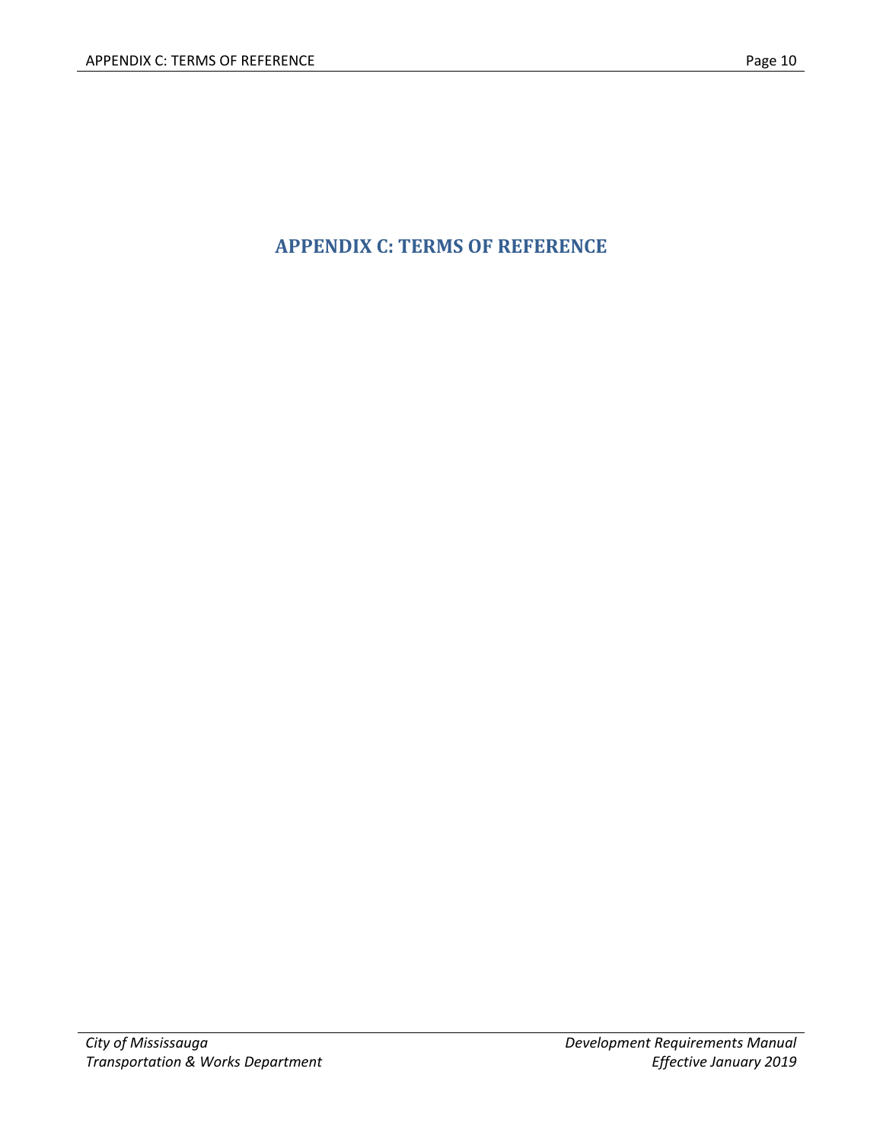# **APPENDIX C: TERMS OF REFERENCE**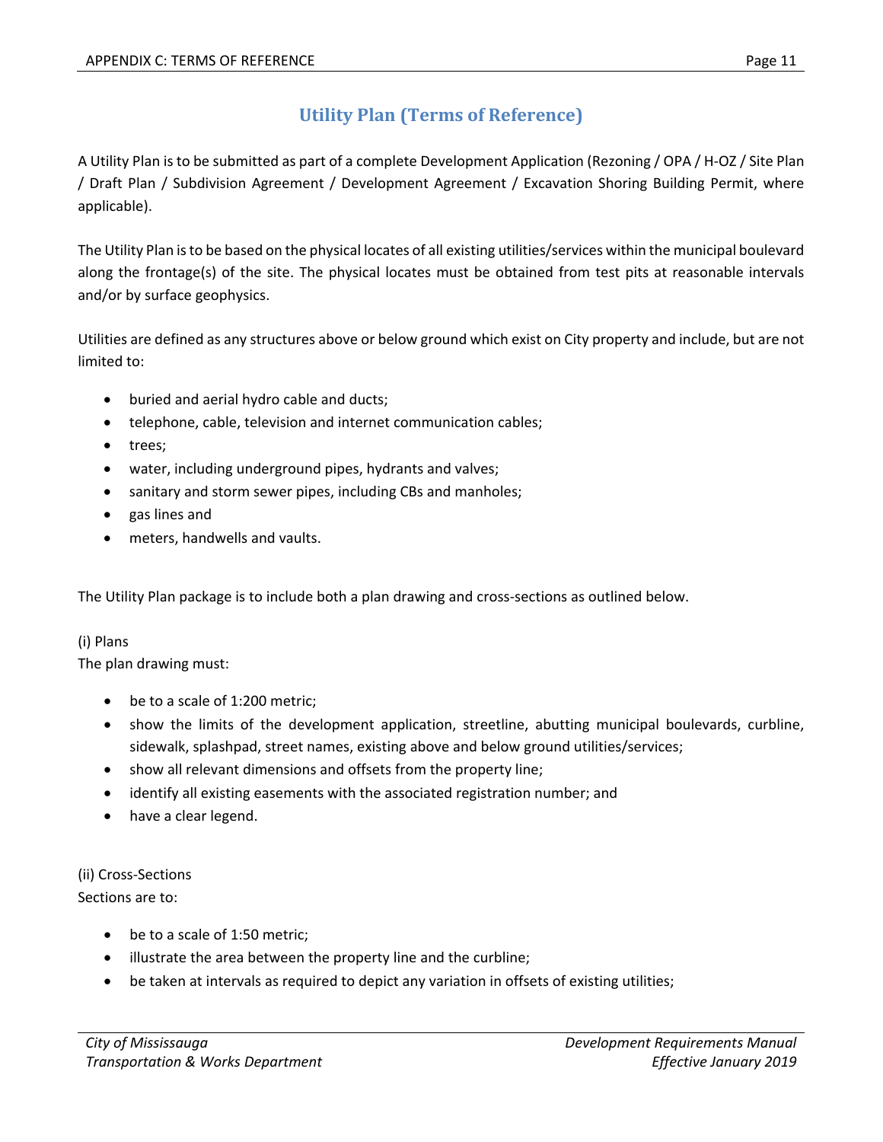## **Utility Plan (Terms of Reference)**

A Utility Plan is to be submitted as part of a complete Development Application (Rezoning / OPA / H‐OZ / Site Plan / Draft Plan / Subdivision Agreement / Development Agreement / Excavation Shoring Building Permit, where applicable).

The Utility Plan is to be based on the physical locates of all existing utilities/services within the municipal boulevard along the frontage(s) of the site. The physical locates must be obtained from test pits at reasonable intervals and/or by surface geophysics.

Utilities are defined as any structures above or below ground which exist on City property and include, but are not limited to:

- buried and aerial hydro cable and ducts;
- telephone, cable, television and internet communication cables;
- trees;
- water, including underground pipes, hydrants and valves;
- sanitary and storm sewer pipes, including CBs and manholes;
- gas lines and
- meters, handwells and vaults.

The Utility Plan package is to include both a plan drawing and cross‐sections as outlined below.

### (i) Plans

The plan drawing must:

- be to a scale of 1:200 metric;
- show the limits of the development application, streetline, abutting municipal boulevards, curbline, sidewalk, splashpad, street names, existing above and below ground utilities/services;
- show all relevant dimensions and offsets from the property line;
- identify all existing easements with the associated registration number; and
- have a clear legend.

(ii) Cross‐Sections Sections are to:

- be to a scale of 1:50 metric;
- illustrate the area between the property line and the curbline;
- be taken at intervals as required to depict any variation in offsets of existing utilities;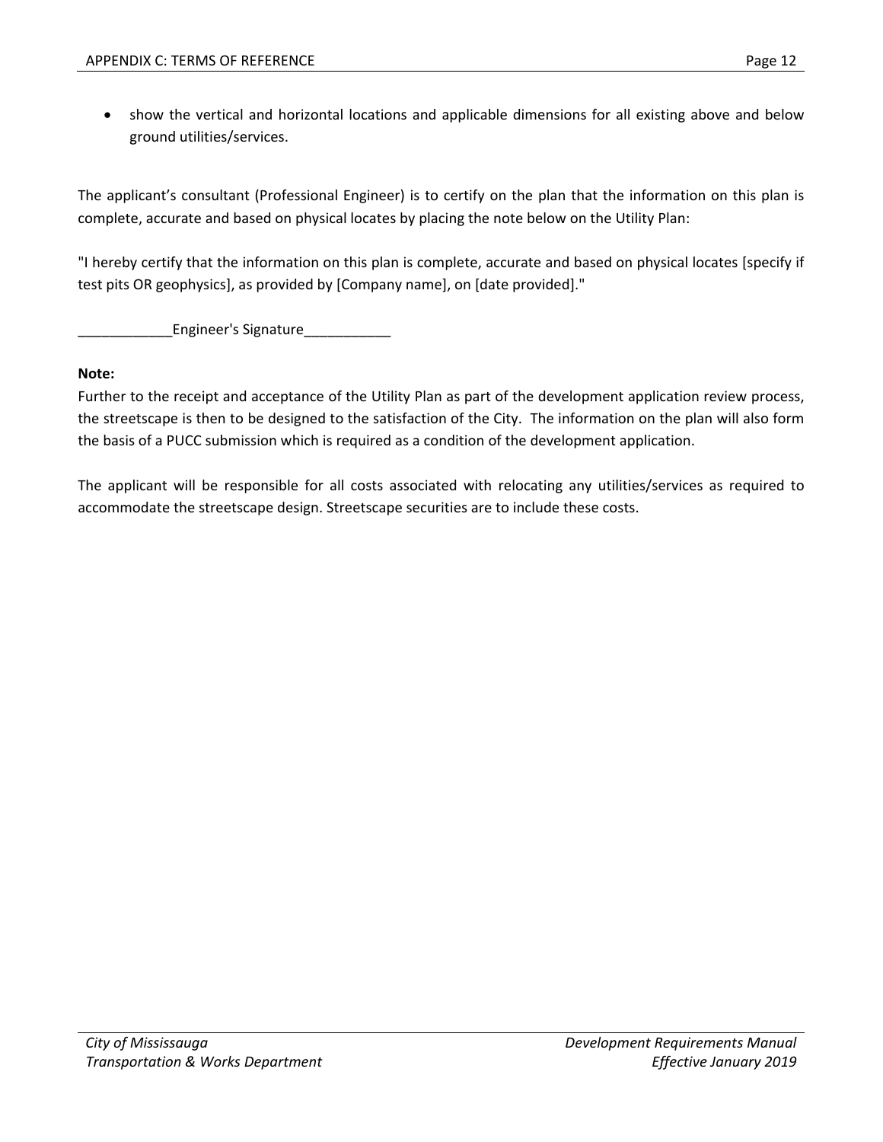show the vertical and horizontal locations and applicable dimensions for all existing above and below ground utilities/services.

The applicant's consultant (Professional Engineer) is to certify on the plan that the information on this plan is complete, accurate and based on physical locates by placing the note below on the Utility Plan:

"I hereby certify that the information on this plan is complete, accurate and based on physical locates [specify if test pits OR geophysics], as provided by [Company name], on [date provided]."

\_\_\_\_\_\_\_\_\_\_\_\_Engineer's Signature\_\_\_\_\_\_\_\_\_\_\_

#### **Note:**

Further to the receipt and acceptance of the Utility Plan as part of the development application review process, the streetscape is then to be designed to the satisfaction of the City. The information on the plan will also form the basis of a PUCC submission which is required as a condition of the development application.

The applicant will be responsible for all costs associated with relocating any utilities/services as required to accommodate the streetscape design. Streetscape securities are to include these costs.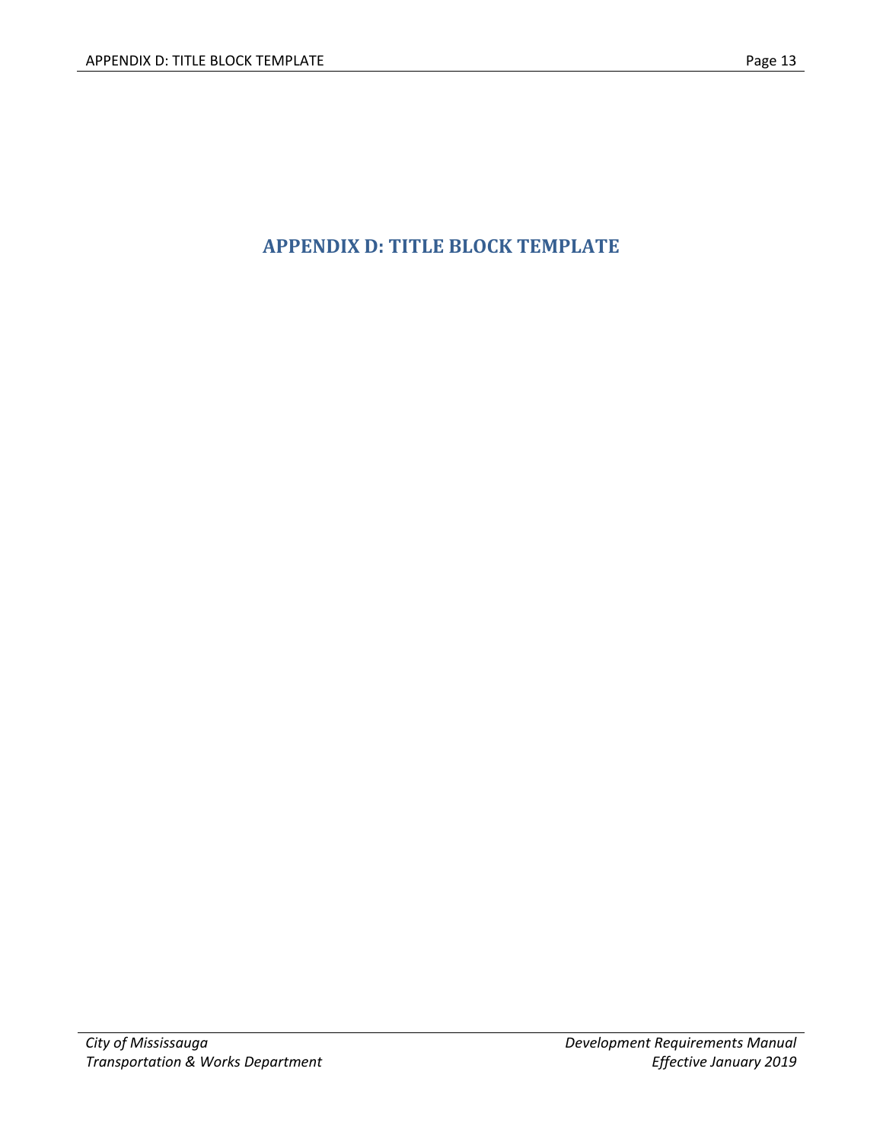# **APPENDIX D: TITLE BLOCK TEMPLATE**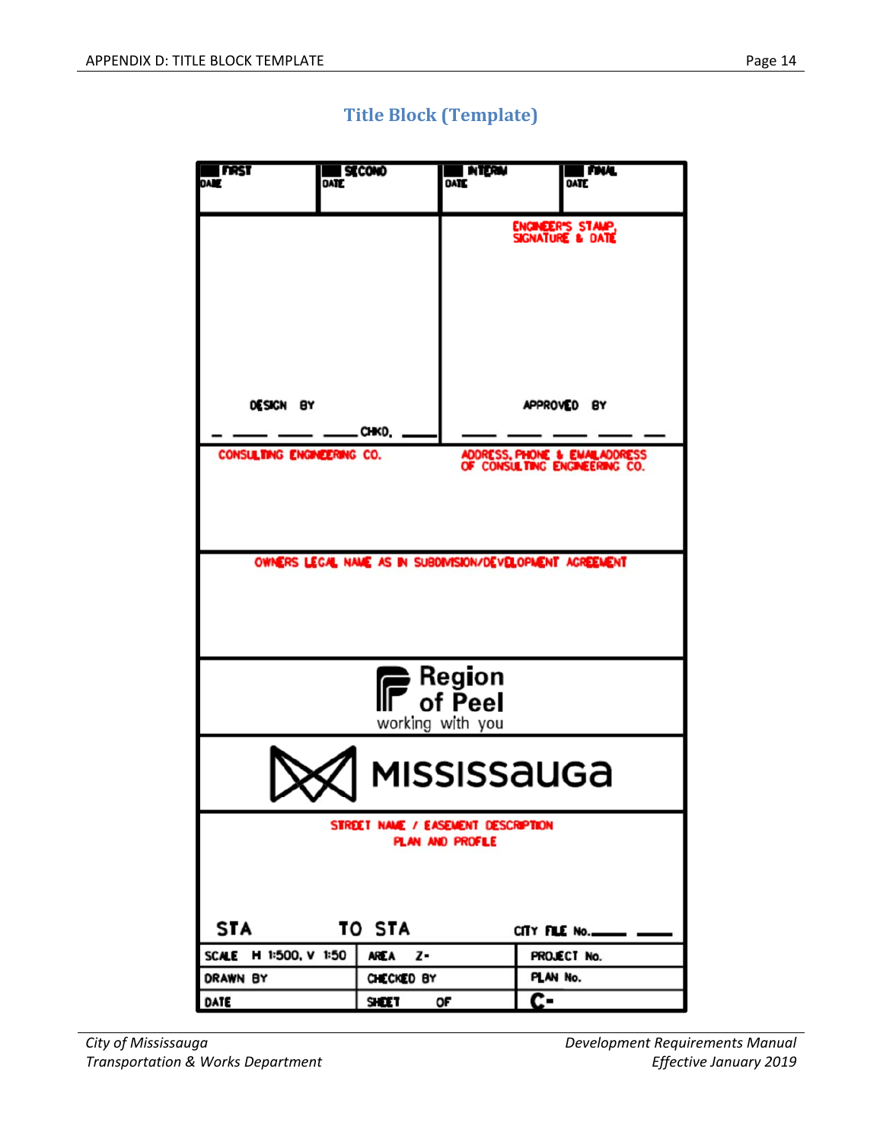

## **Title Block (Template)**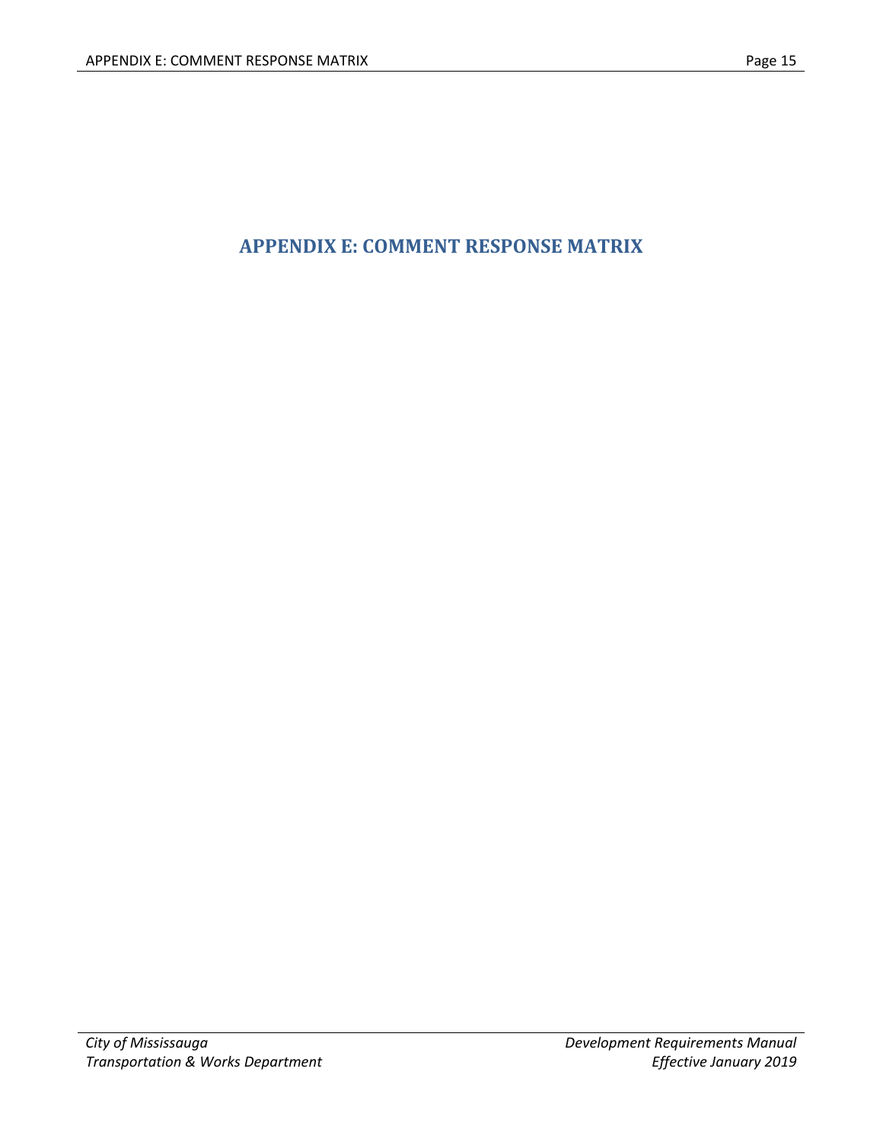## **APPENDIX E: COMMENT RESPONSE MATRIX**